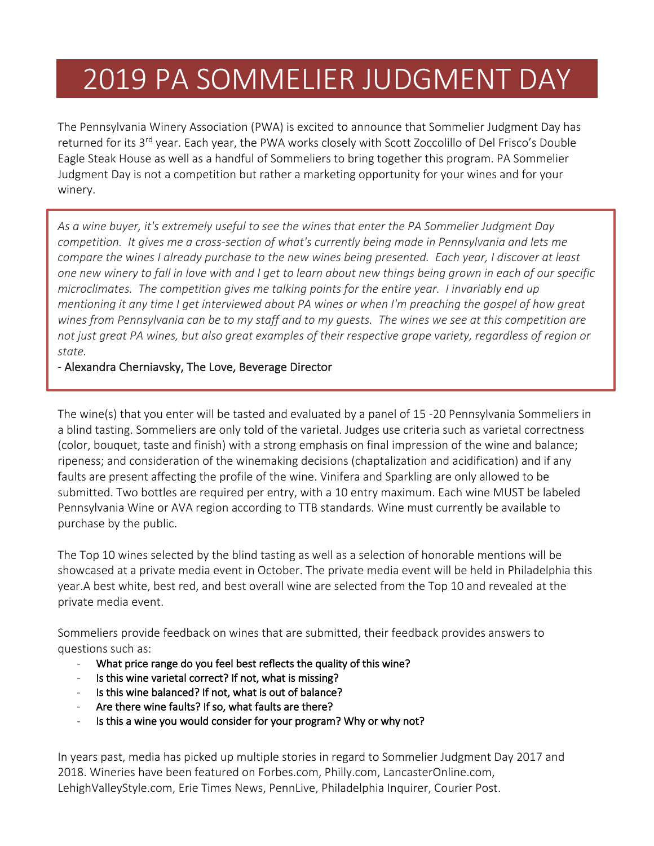## 2019 PA SOMMELIER JUDGMENT DAY

The Pennsylvania Winery Association (PWA) is excited to announce that Sommelier Judgment Day has returned for its 3<sup>rd</sup> year. Each year, the PWA works closely with Scott Zoccolillo of Del Frisco's Double Eagle Steak House as well as a handful of Sommeliers to bring together this program. PA Sommelier Judgment Day is not a competition but rather a marketing opportunity for your wines and for your winery.

*As a wine buyer, it's extremely useful to see the wines that enter the PA Sommelier Judgment Day competition. It gives me a cross-section of what's currently being made in Pennsylvania and lets me compare the wines I already purchase to the new wines being presented. Each year, I discover at least one new winery to fall in love with and I get to learn about new things being grown in each of our specific microclimates. The competition gives me talking points for the entire year. I invariably end up mentioning it any time I get interviewed about PA wines or when I'm preaching the gospel of how great wines from Pennsylvania can be to my staff and to my guests. The wines we see at this competition are not just great PA wines, but also great examples of their respective grape variety, regardless of region or state.*

- Alexandra Cherniavsky, The Love, Beverage Director

The wine(s) that you enter will be tasted and evaluated by a panel of 15 -20 Pennsylvania Sommeliers in a blind tasting. Sommeliers are only told of the varietal. Judges use criteria such as varietal correctness (color, bouquet, taste and finish) with a strong emphasis on final impression of the wine and balance; ripeness; and consideration of the winemaking decisions (chaptalization and acidification) and if any faults are present affecting the profile of the wine. Vinifera and Sparkling are only allowed to be submitted. Two bottles are required per entry, with a 10 entry maximum. Each wine MUST be labeled Pennsylvania Wine or AVA region according to TTB standards. Wine must currently be available to purchase by the public.

The Top 10 wines selected by the blind tasting as well as a selection of honorable mentions will be showcased at a private media event in October. The private media event will be held in Philadelphia this year.A best white, best red, and best overall wine are selected from the Top 10 and revealed at the private media event.

Sommeliers provide feedback on wines that are submitted, their feedback provides answers to questions such as:

- What price range do you feel best reflects the quality of this wine?
- Is this wine varietal correct? If not, what is missing?
- Is this wine balanced? If not, what is out of balance?
- Are there wine faults? If so, what faults are there?
- Is this a wine you would consider for your program? Why or why not?

In years past, media has picked up multiple stories in regard to Sommelier Judgment Day 2017 and 2018. Wineries have been featured on Forbes.com, Philly.com, LancasterOnline.com, LehighValleyStyle.com, Erie Times News, PennLive, Philadelphia Inquirer, Courier Post.